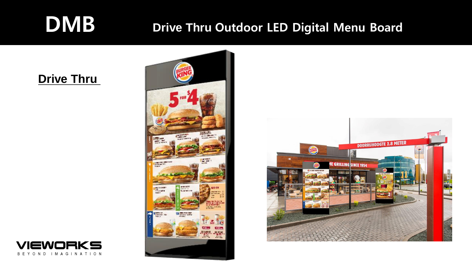# DMB **Drive Thru** Outdoor LED Digital Menu Board

### **Drive Thru**





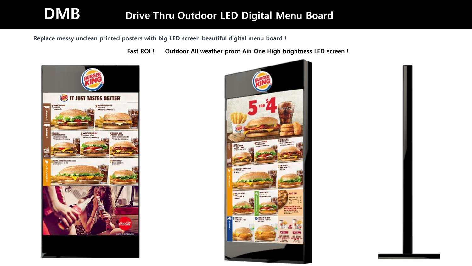## **DMB Drive Thru Outdoor LED Digital Menu Board**

Replace messy unclean printed posters with big LED screen beautiful digital menu board !

Fast ROI ! Outdoor All weather proof Ain One High brightness LED screen !



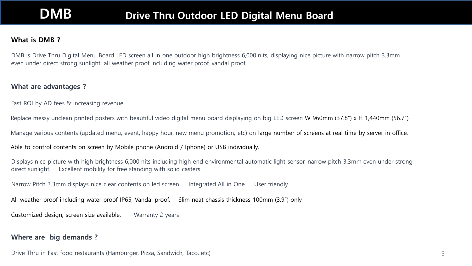### **DMB Drive Thru Outdoor LED Digital Menu Board**

#### What is DMB ?

DMB is Drive Thru Digital Menu Board LED screen all in one outdoor high brightness 6,000 nits, displaying nice picture with narrow pitch 3.3mm even under direct strong sunlight, all weather proof including water proof, vandal proof.

#### What are advantages ?

Fast ROI by AD fees & increasing revenue

Replace messy unclean printed posters with beautiful video digital menu board displaying on big LED screen W 960mm (37.8") x H 1,440mm (56.7")

Manage various contents (updated menu, event, happy hour, new menu promotion, etc) on large number of screens at real time by server in office.

Able to control contents on screen by Mobile phone (Android / Iphone) or USB individually.

Displays nice picture with high brightness 6,000 nits including high end environmental automatic light sensor, narrow pitch 3.3mm even under strong direct sunlight. Excellent mobility for free standing with solid casters.

Narrow Pitch 3.3mm displays nice clear contents on led screen. Integrated All in One. User friendly

All weather proof including water proof IP65, Vandal proof. Slim neat chassis thickness 100mm (3.9") only

Customized design, screen size available. Warranty 2 years

### Where are big demands ?

Drive Thru in Fast food restaurants (Hamburger, Pizza, Sandwich, Taco, etc)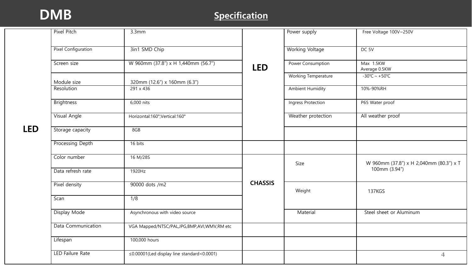### DMB Specification

|            | Pixel Pitch                | 3.3mm                                               |                | Power supply               | Free Voltage 100V~250V                                   |
|------------|----------------------------|-----------------------------------------------------|----------------|----------------------------|----------------------------------------------------------|
|            |                            |                                                     |                |                            |                                                          |
|            | <b>Pixel Configuration</b> | 3in1 SMD Chip                                       |                | <b>Working Voltage</b>     | DC 5V                                                    |
|            | Screen size                | W 960mm (37.8") x H 1,440mm (56.7")                 | <b>LED</b>     | Power Consumption          | Max 1.5KW<br>Average 0.5KW                               |
|            | Module size                | 320mm (12.6") x 160mm (6.3")                        |                | <b>Working Temperature</b> | $-30^{\circ}$ C ~ +50 $^{\circ}$ C                       |
|            | Resolution                 | 291 x 436                                           |                | <b>Ambient Humidity</b>    | 10%-90%RH                                                |
|            | <b>Brightness</b>          | 6,000 nits                                          |                | Ingress Protection         | P65 Water proof                                          |
| <b>LED</b> | Visual Angle               | Horizontal:160°;Vertical:160°                       |                | Weather protection         | All weather proof                                        |
|            | Storage capacity           | 8GB                                                 |                |                            |                                                          |
|            | Processing Depth           | 16 bits                                             |                |                            |                                                          |
|            | Color number               | 16 M/28S                                            | <b>CHASSIS</b> | Size                       | W 960mm (37.8") x H 2,040mm (80.3") x T<br>100mm (3.94") |
|            | Data refresh rate          | 1920Hz                                              |                |                            |                                                          |
|            | Pixel density              | 90000 dots /m2                                      |                | Weight                     | 137KGS                                                   |
|            | Scan                       | $\overline{1/8}$                                    |                |                            |                                                          |
|            | Display Mode               | Asynchronous with video source                      |                | Material                   | Steel sheet or Aluminum                                  |
|            | Data Communication         | VGA Mapped/NTSC/PAL,JPG,BMP,AVI,WMV,RM etc          |                |                            |                                                          |
|            | Lifespan                   | 100,000 hours                                       |                |                            |                                                          |
|            | <b>LED Failure Rate</b>    | $\leq$ 0.00001 (Led display line standard < 0.0001) |                |                            | $\overline{4}$                                           |